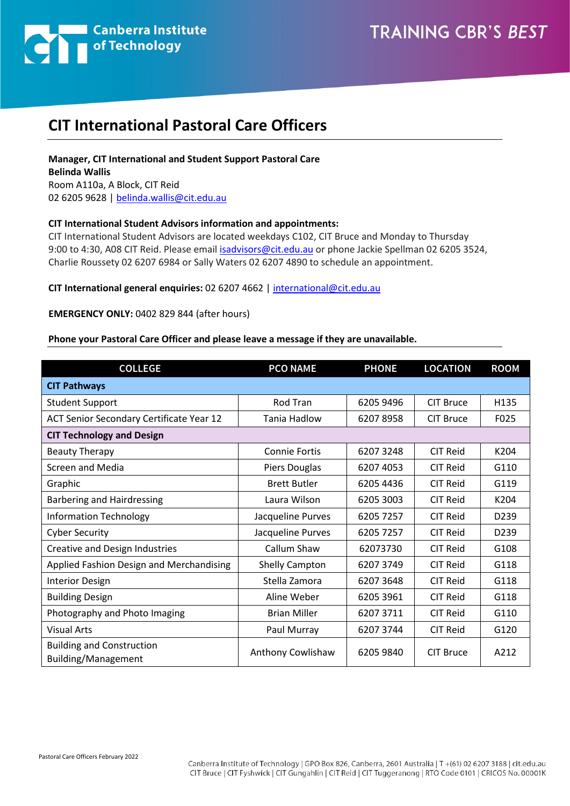

# **CIT International Pastoral Care Officers**

## **Manager, CIT International and Student Support Pastoral Care Belinda Wallis**  Room A110a, A Block, CIT Reid 02 6205 9628 [| belinda.wallis@cit.edu.au](mailto:belinda.wallis@cit.edu.au)

#### **CIT International Student Advisors information and appointments:**

CIT International Student Advisors are located weekdays C102, CIT Bruce and Monday to Thursday 9:00 to 4:30, A08 CIT Reid. Please email [isadvisors@cit.edu.au](mailto:isadvisors@cit.edu.au) or phone Jackie Spellman 02 6205 3524, Charlie Roussety 02 6207 6984 or Sally Waters 02 6207 4890 to schedule an appointment.

#### **CIT International general enquiries:** 02 6207 4662 | [international@cit.edu.au](mailto:international@cit.edu.au)

#### **EMERGENCY ONLY:** 0402 829 844 (after hours)

### **Phone your Pastoral Care Officer and please leave a message if they are unavailable.**

| <b>COLLEGE</b>                                          | <b>PCO NAME</b>      | <b>PHONE</b> | <b>LOCATION</b>  | <b>ROOM</b>      |  |  |
|---------------------------------------------------------|----------------------|--------------|------------------|------------------|--|--|
| <b>CIT Pathways</b>                                     |                      |              |                  |                  |  |  |
| <b>Student Support</b>                                  | Rod Tran             | 6205 9496    | <b>CIT Bruce</b> | H135             |  |  |
| ACT Senior Secondary Certificate Year 12                | Tania Hadlow         | 62078958     | <b>CIT Bruce</b> | F025             |  |  |
| <b>CIT Technology and Design</b>                        |                      |              |                  |                  |  |  |
| <b>Beauty Therapy</b>                                   | <b>Connie Fortis</b> | 62073248     | <b>CIT Reid</b>  | K204             |  |  |
| <b>Screen and Media</b>                                 | Piers Douglas        | 6207 4053    | <b>CIT Reid</b>  | G110             |  |  |
| Graphic                                                 | <b>Brett Butler</b>  | 6205 4436    | <b>CIT Reid</b>  | G119             |  |  |
| Barbering and Hairdressing                              | Laura Wilson         | 6205 3003    | <b>CIT Reid</b>  | K204             |  |  |
| <b>Information Technology</b>                           | Jacqueline Purves    | 6205 7257    | <b>CIT Reid</b>  | D <sub>239</sub> |  |  |
| <b>Cyber Security</b>                                   | Jacqueline Purves    | 6205 7257    | <b>CIT Reid</b>  | D <sub>239</sub> |  |  |
| Creative and Design Industries                          | Callum Shaw          | 62073730     | <b>CIT Reid</b>  | G108             |  |  |
| Applied Fashion Design and Merchandising                | Shelly Campton       | 6207 3749    | <b>CIT Reid</b>  | G118             |  |  |
| <b>Interior Design</b>                                  | Stella Zamora        | 62073648     | <b>CIT Reid</b>  | G118             |  |  |
| <b>Building Design</b>                                  | Aline Weber          | 6205 3961    | <b>CIT Reid</b>  | G118             |  |  |
| Photography and Photo Imaging                           | <b>Brian Miller</b>  | 6207 3711    | <b>CIT Reid</b>  | G110             |  |  |
| <b>Visual Arts</b>                                      | Paul Murray          | 6207 3744    | <b>CIT Reid</b>  | G120             |  |  |
| <b>Building and Construction</b><br>Building/Management | Anthony Cowlishaw    | 6205 9840    | <b>CIT Bruce</b> | A212             |  |  |